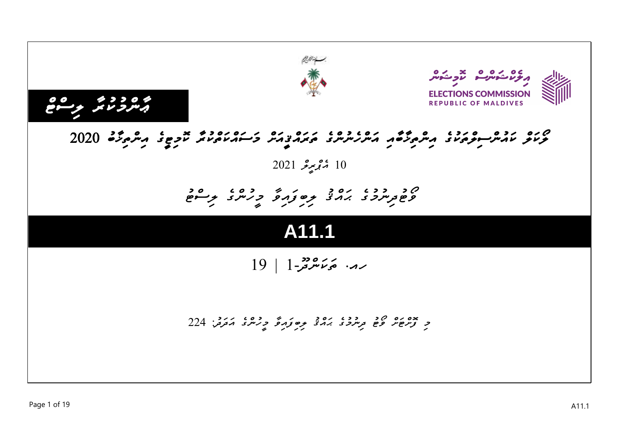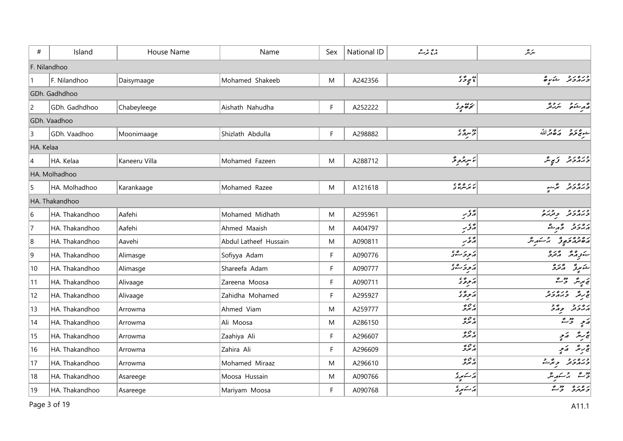| #              | Island         | House Name    | Name                  | Sex       | National ID | ، ه ، بر <u>م</u>                   | ىئرىتر                                                   |
|----------------|----------------|---------------|-----------------------|-----------|-------------|-------------------------------------|----------------------------------------------------------|
|                | F. Nilandhoo   |               |                       |           |             |                                     |                                                          |
|                | F. Nilandhoo   | Daisymaage    | Mohamed Shakeeb       | M         | A242356     | ۽ سچ چري<br>  ۽ سچ چر <sub>چر</sub> | ورەرو خىرە                                               |
|                | GDh. Gadhdhoo  |               |                       |           |             |                                     |                                                          |
| $\mathcal{P}$  | GDh. Gadhdhoo  | Chabeyleege   | Aishath Nahudha       | F         | A252222     | ري ۔<br>کوھنچری                     | مەر خىكى ئىس ئىر قىر                                     |
|                | GDh. Vaadhoo   |               |                       |           |             |                                     |                                                          |
| 3              | GDh. Vaadhoo   | Moonimaage    | Shizlath Abdulla      | F         | A298882     | ادو پروند<br> تر سرچری              | جوم و ده و الله                                          |
| HA. Kelaa      |                |               |                       |           |             |                                     |                                                          |
| 4              | HA. Kelaa      | Kaneeru Villa | Mohamed Fazeen        | M         | A288712     | ئەس <sub>ى</sub> پرىمو ئۇ           | ورەرو تەپ                                                |
|                | HA. Molhadhoo  |               |                       |           |             |                                     |                                                          |
| 5              | HA. Molhadhoo  | Karankaage    | Mohamed Razee         | M         | A121618     | ر ر ه و ،<br>ما موسورتا ی           | ورەرد گرىنو                                              |
|                | HA. Thakandhoo |               |                       |           |             |                                     |                                                          |
| 6              | HA. Thakandhoo | Aafehi        | Mohamed Midhath       | M         | A295961     | دحموسر                              | و ره ر د<br>تر پر ژ تر<br>و در د<br>د تربر <sub>حو</sub> |
| $\overline{7}$ | HA. Thakandhoo | Aafehi        | Ahmed Maaish          | M         | A404797     | پروس                                | ره رو و گرگ                                              |
| 8              | HA. Thakandhoo | Aavehi        | Abdul Latheef Hussain | M         | A090811     | پژځو سر                             | גפנגציק גריקייל                                          |
| 9              | HA. Thakandhoo | Alimasge      | Sofiyya Adam          | F         | A090776     | وسنروشو                             | התנהיה הבנכ                                              |
| $10$           | HA. Thakandhoo | Alimasge      | Shareefa Adam         | F         | A090777     | وأمرخه مدعي                         | شەمرۇ<br>پر ہ<br>مرکز                                    |
| 11             | HA. Thakandhoo | Alivaage      | Zareena Moosa         | F         | A090711     | ەكتوپى                              | ىم ئىرىنگە خەشكە                                         |
| 12             | HA. Thakandhoo | Alivaage      | Zahidha Mohamed       | F         | A295927     | بروء                                | پچ ريگر وره رو<br>ج                                      |
| 13             | HA. Thakandhoo | Arrowma       | Ahmed Viam            | M         | A259777     | ی می بر<br>در برگ                   | גם גב בב                                                 |
| 14             | HA. Thakandhoo | Arrowma       | Ali Moosa             | M         | A286150     | ی 20<br>پر برگ                      | أربم وحرقته                                              |
| 15             | HA. Thakandhoo | Arrowma       | Zaahiya Ali           | F         | A296607     | ړ ه پوځه<br>مرمونځه                 | تجرير أيمنج                                              |
| 16             | HA. Thakandhoo | Arrowma       | Zahira Ali            | F         | A296609     | ى مى<br>مەنىرى                      | پج ریز م <sub>ور</sub><br>پ                              |
| 17             | HA. Thakandhoo | Arrowma       | Mohamed Miraaz        | ${\sf M}$ | A296610     | ړ ره و.<br>در نورن                  | ورەرو بەر                                                |
| 18             | HA. Thakandhoo | Asareege      | Moosa Hussain         | M         | A090766     | ېر کے بیری<br>پ                     | وحث برق                                                  |
| 19             | HA. Thakandhoo | Asareege      | Mariyam Moosa         | F         | A090768     | ېز سه پېړۍ<br>په                    | دو مح<br>ر ه ر ه<br><del>د</del> بربر د                  |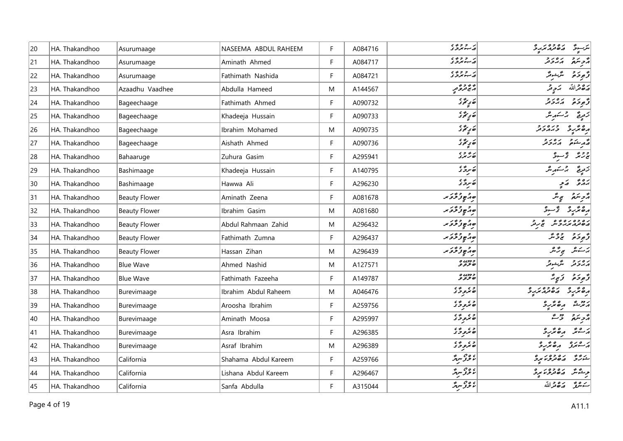| 20 | HA. Thakandhoo | Asurumaage           | NASEEMA ABDUL RAHEEM | F.          | A084716 | ر و و د ء<br>پرسوپوری            | ره وه در ه<br>  پرسوځ                                |
|----|----------------|----------------------|----------------------|-------------|---------|----------------------------------|------------------------------------------------------|
| 21 | HA. Thakandhoo | Asurumaage           | Aminath Ahmed        | F           | A084717 | ر په ده ده د<br>پرسه مرو د       | أثرج بترة<br>پرور و                                  |
| 22 | HA. Thakandhoo | Asurumaage           | Fathimath Nashida    | F           | A084721 | ر په ده ده د<br>پرسه مرو د       | سُرُشدتگر<br>و بر د<br>ترموخامو                      |
| 23 | HA. Thakandhoo | Azaadhu Vaadhee      | Abdulla Hameed       | M           | A144567 | <br> پرنې تره تر                 | <mark>برە ت</mark> راللە<br>برَحٍ قر                 |
| 24 | HA. Thakandhoo | Bageechaage          | Fathimath Ahmed      | $\mathsf F$ | A090732 | ر په دي.<br>په نړۍ               | و محمد المستحقر                                      |
| 25 | HA. Thakandhoo | Bageechaage          | Khadeeja Hussain     | $\mathsf F$ | A090733 | ر<br>صی گوی                      | كتابيع المرشر المراشر                                |
| 26 | HA. Thakandhoo | Bageechaage          | Ibrahim Mohamed      | M           | A090735 | ر<br>ئەس ئە                      | وه پر در در د                                        |
| 27 | HA. Thakandhoo | Bageechaage          | Aishath Ahmed        | $\mathsf F$ | A090736 | ر په دي.<br>په نړۍ               |                                                      |
| 28 | HA. Thakandhoo | Bahaaruge            | Zuhura Gasim         | F           | A295941 | ر و د ،<br>ن <i>ن تر</i> بر      | $\frac{2}{3}$ $\frac{2}{3}$ $\frac{2}{3}$            |
| 29 | HA. Thakandhoo | Bashimaage           | Khadeeja Hussain     | F           | A140795 | ر<br>ت <i>ه م</i> رد د           | ترورچ<br>م<br>جەسىم <b>ەر</b> بىر                    |
| 30 | HA. Thakandhoo | Bashimaage           | Hawwa Ali            | F           | A296230 | ر په په<br>مورد د                | ره و دَرِ                                            |
| 31 | HA. Thakandhoo | <b>Beauty Flower</b> | Aminath Zeena        | $\mathsf F$ | A081678 | ەر ھۇر ئەر<br>س                  | ړې سره پې شر                                         |
| 32 | HA. Thakandhoo | <b>Beauty Flower</b> | Ibrahim Gasim        | M           | A081680 | ەرمۇز ۋە<br>رەمۇز ۋە ئە          | سچ سبز د<br>ر<br>دە ئۈرۈ                             |
| 33 | HA. Thakandhoo | <b>Beauty Flower</b> | Abdul Rahmaan Zahid  | M           | A296432 | ەرمۇز ئەر                        | ره وه ره ده ده د مخر در                              |
| 34 | HA. Thakandhoo | <b>Beauty Flower</b> | Fathimath Zumna      | $\mathsf F$ | A296437 | ە ئەھ بۇ ئەرىر<br>مەھ بۇ ئەھ بىر | توجدة بمحمد                                          |
| 35 | HA. Thakandhoo | <b>Beauty Flower</b> | Hassan Zihan         | M           | A296439 | <br>  مەھبى ئەتىمىسى             |                                                      |
| 36 | HA. Thakandhoo | <b>Blue Wave</b>     | Ahmed Nashid         | M           | A127571 | و دورړ ه<br>ن <i>ن نو</i> و      | رەرو ئۇيدۇ.                                          |
| 37 | HA. Thakandhoo | <b>Blue Wave</b>     | Fathimath Fazeeha    | F           | A149787 | و دور، ه<br>ن مو و و             | قەم قۇم قۇم                                          |
| 38 | HA. Thakandhoo | Burevimaage          | Ibrahim Abdul Raheem | M           | A046476 | د ،<br>صغر و د د                 | ر ه د ه ر ه<br>پره تربر تربر و<br>ەر ھەترىر <i>2</i> |
| 39 | HA. Thakandhoo | Burevimaage          | Aroosha Ibrahim      | F           | A259756 | د ،<br>صغر و د د                 | ر دو پر<br>در برندگه<br>ە ھەترىرى<br>برھەترىرى       |
| 40 | HA. Thakandhoo | Burevimaage          | Aminath Moosa        | $\mathsf F$ | A295997 | د ،<br>صغر و د د                 | ديو مشر<br>أرمره                                     |
| 41 | HA. Thakandhoo | Burevimaage          | Asra Ibrahim         | F           | A296385 | د ،<br>صغر و د د                 | رەپر<br>مەھترىرى                                     |
| 42 | HA. Thakandhoo | Burevimaage          | Asraf Ibrahim        | M           | A296389 | د ،<br>صغر و د د                 | ەھ تررۈ<br>ىر ھېمەنى<br>مەسىمىرى                     |
| 43 | HA. Thakandhoo | California           | Shahama Abdul Kareem | F           | A259766 | ئونۇ بىرىد                       | شرگرمی<br>ر ه و و ر ه<br>پره ترو <i>لا بو</i> ر      |
| 44 | HA. Thakandhoo | California           | Lishana Abdul Kareem | F.          | A296467 | <i>، وہ مبرڈ</i>                 | ره وه ره<br>پره تر تر بر<br>ىرىشەشر                  |
| 45 | HA. Thakandhoo | California           | Sanfa Abdulla        | F           | A315044 | ، وه پېرتگه<br>موکو سرچ          | سكسرتر وكافد الله                                    |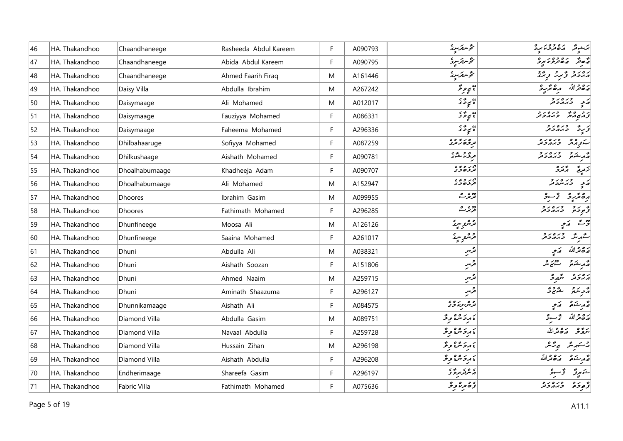| 46 | HA. Thakandhoo | Chaandhaneege  | Rasheeda Abdul Kareem | F.          | A090793 | كۇستىرسىگە                                   | ر دور ده ده در ده<br>مرش <sub>و</sub> تر م <i>عترفرنام</i> رد |
|----|----------------|----------------|-----------------------|-------------|---------|----------------------------------------------|---------------------------------------------------------------|
| 47 | HA. Thakandhoo | Chaandhaneege  | Abida Abdul Kareem    | F           | A090795 | كۇسىركىرىگە                                  | مەم مەدەرىرە                                                  |
| 48 | HA. Thakandhoo | Chaandhaneege  | Ahmed Faarih Firaq    | M           | A161446 | ڭۇس <sub>ى</sub> رىگەس <sub>ى</sub> گە       | ومدد ومرثر ومدد                                               |
| 49 | HA. Thakandhoo | Daisy Villa    | Abdulla Ibrahim       | M           | A267242 | ناسم عرقته<br>مستحق <sup>ر</sup>             | ە ھەترىرى<br>ەھەراللە                                         |
| 50 | HA. Thakandhoo | Daisymaage     | Ali Mohamed           | M           | A012017 | $\frac{c}{s}$ ءَ سچ                          | أرو ورەرو                                                     |
| 51 | HA. Thakandhoo | Daisymaage     | Fauziyya Mohamed      | F           | A086331 | ر<br>پانگ پی پی تر <sub>ک</sub>              | ۇ ئەم ئەر<br>و ره ر و<br><i>د ب</i> رگرفر                     |
| 52 | HA. Thakandhoo | Daisymaage     | Faheema Mohamed       | F           | A296336 | ر<br>پانگ پی پی تر <sub>ک</sub>              | تۇرپە تى<br>و رە ر د<br>تر پر تر تر                           |
| 53 | HA. Thakandhoo | Dhilbahaaruge  | Sofiyya Mohamed       | F           | A087259 | و ره ره و ،<br>درگرفت <i>ر</i> بر د          | ا يەر ەير<br>__<br>و ره ر د<br><i>د بر</i> د تر               |
| 54 | HA. Thakandhoo | Dhilkushaage   | Aishath Mohamed       | F           | A090781 | <sub>قر</sub> و ۾ شوءِ                       | و ر ه ر د<br>تر پر تر تر<br>پھ مر شوی <sub>ر</sub>            |
| 55 | HA. Thakandhoo | Dhoalhabumaage | Khadheeja Adam        | $\mathsf F$ | A090707 | ہ ر و ر ء<br>ترتر <i>ہ و ی</i>               | تزمرمج كمرترو                                                 |
| 56 | HA. Thakandhoo | Dhoalhabumaage | Ali Mohamed           | M           | A152947 | ہ ر د د  ء<br>ترتر <i>ہ ت</i> ر <sub>ک</sub> | أرو ورامرد                                                    |
| 57 | HA. Thakandhoo | <b>Dhoores</b> | Ibrahim Gasim         | M           | A099955 | دد ،<br>تدبر ب                               | ە ھەتگەرى<br>بەھەتگەرى<br>تۇسىۋ                               |
| 58 | HA. Thakandhoo | <b>Dhoores</b> | Fathimath Mohamed     | F           | A296285 | دد ،<br>تربر ک                               | توجوحه<br>و ر ه ر د<br>تر پر پر تر                            |
| 59 | HA. Thakandhoo | Dhunfineege    | Moosa Ali             | M           | A126126 | قرىثىر بىرگە                                 | $\frac{1}{2}$ $\frac{2}{3}$                                   |
| 60 | HA. Thakandhoo | Dhunfineege    | Saaina Mohamed        | F           | A261017 | ۇ ش <sub>رىرىد</sub> ى<br>مەسرىيە            | و ره ر و<br><i>و پر</i> پر تر<br>سٹہر بٹر                     |
| 61 | HA. Thakandhoo | Dhuni          | Abdulla Ali           | M           | A038321 | و<br>ترسر                                    | <mark>بر25</mark> مرالله<br>ەتىر                              |
| 62 | HA. Thakandhoo | Dhuni          | Aishath Soozan        | F           | A151806 | قرسر                                         | متزئر چر<br>پ <sup>ر</sup> مرشو                               |
| 63 | HA. Thakandhoo | Dhuni          | Ahmed Naaim           | M           | A259715 | و<br>توسر                                    | ر ە ر د<br>م <i>رگ</i> تر<br>سمەر                             |
| 64 | HA. Thakandhoo | Dhuni          | Aminath Shaazuma      | F           | A296127 | قرسر                                         | رشم پر په<br>مشتم تر<br>ړګر سرچ                               |
| 65 | HA. Thakandhoo | Dhunnikamaage  | Aishath Ali           | F           | A084575 | و ه سربر د د ،<br>تر سربر بر د د             | ا پژ <sub>امر</sub> شوه<br>ا<br>رځيو                          |
| 66 | HA. Thakandhoo | Diamond Villa  | Abdulla Gasim         | M           | A089751 | ن <sub>ە م</sub> ەركىيە ھەتتىر               | 20 مقرالله كالمحت                                             |
| 67 | HA. Thakandhoo | Diamond Villa  | Navaal Abdulla        | $\mathsf F$ | A259728 | )<br>) دېر د تنده <sub>عر</sub> م            | تروًّق رَصْدَاللَّه                                           |
| 68 | HA. Thakandhoo | Diamond Villa  | Hussain Zihan         | M           | A296198 | ،<br>، مرځ مرغ و ځ                           | يز ستهر شهر سي شر شر                                          |
| 69 | HA. Thakandhoo | Diamond Villa  | Aishath Abdulla       | F           | A296208 | ،<br>، مرځ مرغ و ځ                           | صَّمَّ مَصْحَمَّ صَفَّرَ اللَّهُ                              |
| 70 | HA. Thakandhoo | Endherimaage   | Shareefa Gasim        | F           | A296197 | ، ۵۶ وي په د                                 | شَهْرٍ تَرَ - تَرْ - رَحْر                                    |
| 71 | HA. Thakandhoo | Fabric Villa   | Fathimath Mohamed     | F           | A075636 | ، چې پر ره <sub>عر</sub> مځه                 | و د دره دره<br>گرجوجو درمدد                                   |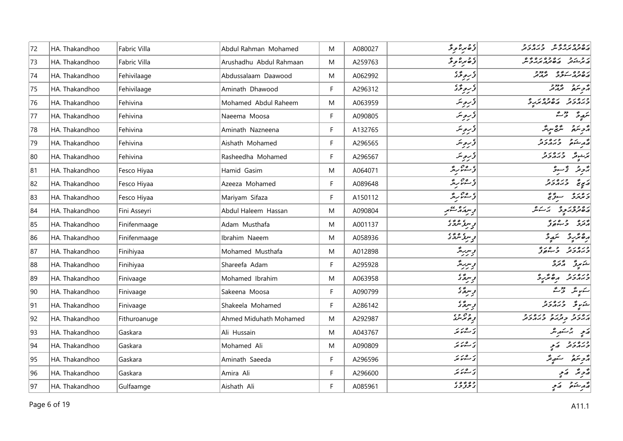| 72           | HA. Thakandhoo | Fabric Villa | Abdul Rahman Mohamed    | M  | A080027 | ۇ ھ <sub>ىم</sub> رىئو ئە       | ره כه ره په د حده ر د<br>پره تربر بربر حسن حد حدو تر |
|--------------|----------------|--------------|-------------------------|----|---------|---------------------------------|------------------------------------------------------|
| 73           | HA. Thakandhoo | Fabric Villa | Arushadhu Abdul Rahmaan | M  | A259763 | ۇ ئەبىر ئ <i>ەر</i> گە          | ر و ر و بره وه ره وه.<br>پر برخونز بر محمد بربرگر    |
| 74           | HA. Thakandhoo | Fehivilaage  | Abdussalaam Daawood     | M  | A062992 | ای ره وی<br><u>د برو</u> وی     | ره وه بروه مودود<br>پره تربر شوڅر دربرنر             |
| 75           | HA. Thakandhoo | Fehivilaage  | Aminath Dhawood         | F  | A296312 | ۇ رەپە ئەتى<br>تەرىپە ئى        | أأروبتهم المرود                                      |
| 76           | HA. Thakandhoo | Fehivina     | Mohamed Abdul Raheem    | Μ  | A063959 | اؤروبئر<br><u>سير</u>           |                                                      |
| 77           | HA. Thakandhoo | Fehivina     | Naeema Moosa            | F  | A090805 | ۇر <sub>جو</sub> ىتر            | سَمِيرٌ حَرْبٌ                                       |
| 78           | HA. Thakandhoo | Fehivina     | Aminath Nazneena        | F  | A132765 | ۇرەبىر                          | ۇ ئەسكە ئەستىم ئېرىتر                                |
| 79           | HA. Thakandhoo | Fehivina     | Aishath Mohamed         | F  | A296565 | و <sub>مرح</sub> ومتر<br>مرم    |                                                      |
| 80           | HA. Thakandhoo | Fehivina     | Rasheedha Mohamed       | F. | A296567 | ء<br>قرىر جە بىتر               | و ره ر و<br>تر پر تر تر<br>ىرىشونىر                  |
| 81           | HA. Thakandhoo | Fesco Hiyaa  | Hamid Gasim             | M  | A064071 | ، مەنگە بەر                     | أثرونر تؤسوه                                         |
| 82           | HA. Thakandhoo | Fesco Hiyaa  | Azeeza Mohamed          | F  | A089648 | ې ۵ <u>۵ کېږ</u>                | ەسچەتى<br>و ر ه ر د<br><i>و پر پر</i> ونر            |
| 83           | HA. Thakandhoo | Fesco Hiyaa  | Mariyam Sifaza          | F  | A150112 | ې ۵ <u>۵ کې پېژ</u>             | رەرە سۆتى                                            |
| 84           | HA. Thakandhoo | Fini Asseyri | Abdul Haleem Hassan     | Μ  | A090804 | و سره د ه عمومه                 | גפרפג'קר ג'ילית                                      |
| 85           | HA. Thakandhoo | Finifenmaage | Adam Musthafa           | Μ  | A001137 | وسوه ه ده                       | وره و ه رو<br>مرکز د سورو                            |
| 86           | HA. Thakandhoo | Finifenmaage | Ibrahim Naeem           | Μ  | A058936 | ر سر شرد دي.<br>م               | رە ئەر ئىر                                           |
| 87           | HA. Thakandhoo | Finihiyaa    | Mohamed Musthafa        | M  | A012898 | و سربر پر<br>سربر               | وره رو و ه ره<br><i>و پرو</i> ونر و <i>ښوو</i> ژ     |
| 88           | HA. Thakandhoo | Finihiyaa    | Shareefa Adam           | F  | A295928 | او مدر پڑ<br>سب م               | شَامِرِ تَرَّ الرَّمْرَةِ                            |
| 89           | HA. Thakandhoo | Finivaage    | Mohamed Ibrahim         | M  | A063958 | و سرچ ء<br>تر سرچ <sub>چ</sub>  |                                                      |
| $ 90\rangle$ | HA. Thakandhoo | Finivaage    | Sakeena Moosa           | F. | A090799 | وسرة و                          | سەر شەھ تەس                                          |
| 91           | HA. Thakandhoo | Finivaage    | Shakeela Mohamed        | F  | A286142 | و سرچ <sup>ء</sup><br>تر برچ    | شرر قرم در مرد                                       |
| 92           | HA. Thakandhoo | Fithuroanuge | Ahmed Miduhath Mohamed  | Μ  | A292987 | د ه ه د ،<br>پوه ترس            | גם גב בנגב בגם בב                                    |
| 93           | HA. Thakandhoo | Gaskara      | Ali Hussain             | M  | A043767 | ى سەرىمىر                       | أەسمج سىسكىر بىگىر                                   |
| 94           | HA. Thakandhoo | Gaskara      | Mohamed Ali             | Μ  | A090809 | ى سەرىمىر                       | ورەرو كې                                             |
| 95           | HA. Thakandhoo | Gaskara      | Aminath Saeeda          | F. | A296596 | ى سەرىمىر                       | أأدم المحمدة                                         |
| 96           | HA. Thakandhoo | Gaskara      | Amira Ali               | F  | A296600 | ر 2 ئەرىر<br>ئ                  | وترجته<br>ەئىر                                       |
| 97           | HA. Thakandhoo | Gulfaamge    | Aishath Ali             | F  | A085961 | وه پره پر<br><b>بر تر</b> تر بر | مەر خىم كەم                                          |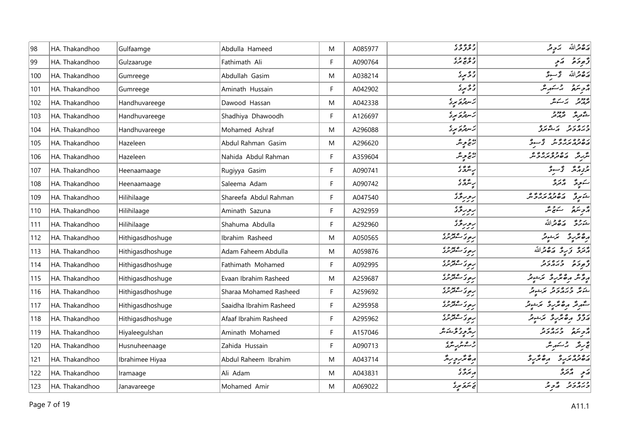| 98  | HA. Thakandhoo | Gulfaamge        | Abdulla Hameed          | M           | A085977 | وه و ه ه ،<br>  د نوگر د د                | پره مرالله برحي مر                                                                                                                                                                                                                                                                                                                      |
|-----|----------------|------------------|-------------------------|-------------|---------|-------------------------------------------|-----------------------------------------------------------------------------------------------------------------------------------------------------------------------------------------------------------------------------------------------------------------------------------------------------------------------------------------|
| 99  | HA. Thakandhoo | Gulzaaruge       | Fathimath Ali           | $\mathsf F$ | A090764 | و ه پر و ،<br>د نومځ مرد                  | وً و د د کم                                                                                                                                                                                                                                                                                                                             |
| 100 | HA. Thakandhoo | Gumreege         | Abdullah Gasim          | M           | A038214 | و ه مړي<br>  د ح مړي                      | رە دالله گم سود                                                                                                                                                                                                                                                                                                                         |
| 101 | HA. Thakandhoo | Gumreege         | Aminath Hussain         | F.          | A042902 | د ه پری<br>  د ح مړي                      | أروسكو بالمسكر                                                                                                                                                                                                                                                                                                                          |
| 102 | HA. Thakandhoo | Handhuvareege    | Dawood Hassan           | M           | A042338 | ر سر پرې <sub>سر</sub> په                 | پروو پر کرد.<br>ترم <i>ر</i> تر بر کرد                                                                                                                                                                                                                                                                                                  |
| 103 | HA. Thakandhoo | Handhuvareege    | Shadhiya Dhawoodh       | $\mathsf F$ | A126697 | ر سرچر ہے<br> -<br>سرچری س <sub>ی</sub> ر | شوره ودود<br>شوره ترود                                                                                                                                                                                                                                                                                                                  |
| 104 | HA. Thakandhoo | Handhuvareege    | Mohamed Ashraf          | M           | A296088 | ر سر پرې <sub>سر</sub> م                  | ورەرو كەشەيرە                                                                                                                                                                                                                                                                                                                           |
| 105 | HA. Thakandhoo | Hazeleen         | Abdul Rahman Gasim      | M           | A296620 | ار بر مویتر<br> -                         | رە دەرەپەر پەر ە<br>مەھىرمەيرىرىس تىسىر                                                                                                                                                                                                                                                                                                 |
| 106 | HA. Thakandhoo | Hazeleen         | Nahida Abdul Rahman     | F           | A359604 | ئەنج مەيىتىر<br>                          | و ده ده ده ده وه<br>سررتر مقادر در د                                                                                                                                                                                                                                                                                                    |
| 107 | HA. Thakandhoo | Heenaamaage      | Rugiyya Gasim           | $\mathsf F$ | A090741 | رېږي                                      | بر <sub>ۇ</sub> مۇ ئ <sup>ې</sup> رۇ                                                                                                                                                                                                                                                                                                    |
| 108 | HA. Thakandhoo | Heenaamaage      | Saleema Adam            | F           | A090742 | ر پر پر دي<br>پر پنگرنري                  | سەرچ<br>پر ہ<br>مرکزو                                                                                                                                                                                                                                                                                                                   |
| 109 | HA. Thakandhoo | Hilihilaage      | Shareefa Abdul Rahman   | F.          | A047540 | رورۇ،<br> رورۇ،                           | ره وه ره ده.<br>په <i>ه در برن</i> گر<br>ے موقر<br>سند میں                                                                                                                                                                                                                                                                              |
| 110 | HA. Thakandhoo | Hilihilaage      | Aminath Sazuna          | F           | A292959 | ر ور د د.<br>بر د بر                      | ړ ځېږ په<br>سەنچە ئىگر                                                                                                                                                                                                                                                                                                                  |
| 111 | HA. Thakandhoo | Hilihilaage      | Shahuma Abdulla         | $\mathsf F$ | A292960 | ر د ر د د د<br>بر د بر                    | خورى مەھىراللە                                                                                                                                                                                                                                                                                                                          |
| 112 | HA. Thakandhoo | Hithigasdhoshuge | Ibrahim Rasheed         | M           | A050565 | ره د ۱۶۵۵ و و<br>کرم د مستقرمرد           | رە ئرىر ئىسىمىتى ئىشلىقى ئىشلىقى ئىس                                                                                                                                                                                                                                                                                                    |
| 113 | HA. Thakandhoo | Hithigasdhoshuge | Adam Faheem Abdulla     | M           | A059876 | ر مړی کے در د تا<br>مرحو تو کستونو تو دی  | ويره ويره ماه والله                                                                                                                                                                                                                                                                                                                     |
| 114 | HA. Thakandhoo | Hithigasdhoshuge | Fathimath Mohamed       | F           | A092995 | ره د ۱۶۵ و د د                            | و د دره دور                                                                                                                                                                                                                                                                                                                             |
| 115 | HA. Thakandhoo | Hithigasdhoshuge | Evaan Ibrahim Rasheed   | M           | A259687 | <br>  رە ئەسەتىرىرى<br>  برېر             |                                                                                                                                                                                                                                                                                                                                         |
| 116 | HA. Thakandhoo | Hithigasdhoshuge | Sharaa Mohamed Rasheed  | F           | A259692 | <br>  ره د ک سور د د د                    | $\frac{1}{2}$ $\frac{1}{2}$ $\frac{1}{2}$ $\frac{1}{2}$ $\frac{1}{2}$ $\frac{1}{2}$ $\frac{1}{2}$                                                                                                                                                                                                                                       |
| 117 | HA. Thakandhoo | Hithigasdhoshuge | Saaidha Ibrahim Rasheed | F.          | A295958 | <br>  رە ئەسىمەدىرى<br>  يەر              |                                                                                                                                                                                                                                                                                                                                         |
| 118 | HA. Thakandhoo | Hithigasdhoshuge | Afaaf Ibrahim Rasheed   | F.          | A295962 | <br>  ره د ک سوفرمرد<br>  ر ر             | $\begin{array}{cc} \mathcal{L}_{\mathcal{L}_{\mathcal{L}}} & \mathcal{L}_{\mathcal{L}_{\mathcal{L}}} & \mathcal{L}_{\mathcal{L}_{\mathcal{L}}} \\ \mathcal{L}_{\mathcal{L}_{\mathcal{L}}} & \mathcal{L}_{\mathcal{L}_{\mathcal{L}}} & \mathcal{L}_{\mathcal{L}_{\mathcal{L}}} & \mathcal{L}_{\mathcal{L}_{\mathcal{L}}} \\ \end{array}$ |
| 119 | HA. Thakandhoo | Hiyaleegulshan   | Aminath Mohamed         | $\mathsf F$ | A157046 | ر ئ <sup>ۇ</sup> بەر قەشەھەر              | أثر سرد وره دو                                                                                                                                                                                                                                                                                                                          |
| 120 | HA. Thakandhoo | Husnuheenaage    | Zahida Hussain          | F.          | A090713 | 2 مەش <sub>رىپ</sub> ىرىگەنگە             | ئج پەنگە ئەسكەر بىگە                                                                                                                                                                                                                                                                                                                    |
| 121 | HA. Thakandhoo | Ibrahimee Hiyaa  | Abdul Raheem Ibrahim    | M           | A043714 | ە ھەترىر دىر<br>ر                         | גם כם גם הפיציב                                                                                                                                                                                                                                                                                                                         |
| 122 | HA. Thakandhoo | Iramaage         | Ali Adam                | M           | A043831 | پرځ د                                     | أەسمجە مەتىرى                                                                                                                                                                                                                                                                                                                           |
| 123 | HA. Thakandhoo | Janavareege      | Mohamed Amir            | M           | A069022 | <br>  نئے سرچ سرچ                         | כממכת הכת                                                                                                                                                                                                                                                                                                                               |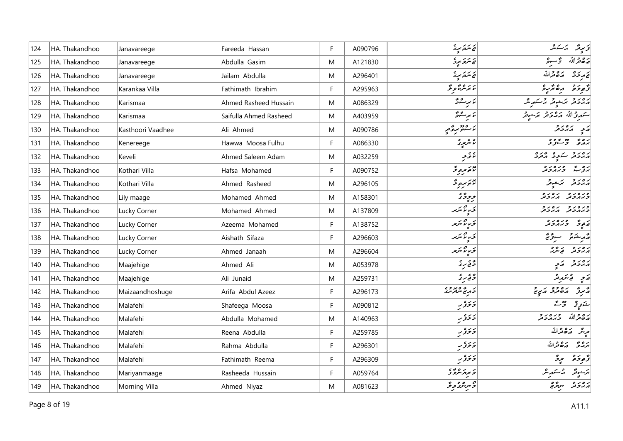| 124 | HA. Thakandhoo | Janavareege       | Fareeda Hassan         | F           | A090796 | <br>  نے سرچ سمبر <sub>ک</sub> ے  | تۇيدىق - ئەستەش                                                                                                                                                                                                                                                                                                               |
|-----|----------------|-------------------|------------------------|-------------|---------|-----------------------------------|-------------------------------------------------------------------------------------------------------------------------------------------------------------------------------------------------------------------------------------------------------------------------------------------------------------------------------|
| 125 | HA. Thakandhoo | Janavareege       | Abdulla Gasim          | M           | A121830 | <br> ج سره مړي                    | أَرَدْ مَرَاللَّهُ تَوَّسِوْ                                                                                                                                                                                                                                                                                                  |
| 126 | HA. Thakandhoo | Janavareege       | Jailam Abdulla         | M           | A296401 | ئے مترکھ سریحہ                    | تحصر محدد الله                                                                                                                                                                                                                                                                                                                |
| 127 | HA. Thakandhoo | Karankaa Villa    | Fathimath Ibrahim      | F           | A295963 | ئەئەترىگە بوڭر                    | وجوده مقتررة                                                                                                                                                                                                                                                                                                                  |
| 128 | HA. Thakandhoo | Karismaa          | Ahmed Rasheed Hussain  | M           | A086329 | لأبرجو                            | ו 200 היינית הייתות                                                                                                                                                                                                                                                                                                           |
| 129 | HA. Thakandhoo | Karismaa          | Saifulla Ahmed Rasheed | M           | A403959 | لأمريقة                           | ستهرو الله مرودور مرسومر                                                                                                                                                                                                                                                                                                      |
| 130 | HA. Thakandhoo | Kasthoori Vaadhee | Ali Ahmed              | M           | A090786 | <br>  پاڪھو مورچ تير<br>          | $\begin{bmatrix} 1 & 0 & 0 & 0 \\ 0 & 0 & 0 & 0 \\ 0 & 0 & 0 & 0 \\ 0 & 0 & 0 & 0 \\ 0 & 0 & 0 & 0 \\ 0 & 0 & 0 & 0 \\ 0 & 0 & 0 & 0 \\ 0 & 0 & 0 & 0 \\ 0 & 0 & 0 & 0 \\ 0 & 0 & 0 & 0 \\ 0 & 0 & 0 & 0 & 0 \\ 0 & 0 & 0 & 0 & 0 \\ 0 & 0 & 0 & 0 & 0 \\ 0 & 0 & 0 & 0 & 0 \\ 0 & 0 & 0 & 0 & 0 & 0 \\ 0 & 0 & 0 & 0 & 0 & $ |
| 131 | HA. Thakandhoo | Kenereege         | Hawwa Moosa Fulhu      | F           | A086330 | ې مه پېړۍ<br>م                    | ره دو در                                                                                                                                                                                                                                                                                                                      |
| 132 | HA. Thakandhoo | Keveli            | Ahmed Saleem Adam      | M           | A032259 | ءَءُمبر                           | أرور ومستجرة أردوه                                                                                                                                                                                                                                                                                                            |
| 133 | HA. Thakandhoo | Kothari Villa     | Hafsa Mohamed          | F           | A090752 | ىدىر<br>ئامۇمرەيە ئى              | ره په دره د د<br>برو په د برمان                                                                                                                                                                                                                                                                                               |
| 134 | HA. Thakandhoo | Kothari Villa     | Ahmed Rasheed          | M           | A296105 | معتمر مرعر محر                    | د ۱۵ د حر مر شوند<br>  د بر حر مر سوند                                                                                                                                                                                                                                                                                        |
| 135 | HA. Thakandhoo | Lily maage        | Mohamed Ahmed          | M           | A158301 | ووژگی<br>رو                       | כנסנכ נסנכ<br>כממכת המכת                                                                                                                                                                                                                                                                                                      |
| 136 | HA. Thakandhoo | Lucky Corner      | Mohamed Ahmed          | M           | A137809 | خرېد تمه                          | כנסנכ נסנכ<br>כגמכנג הגבנג                                                                                                                                                                                                                                                                                                    |
| 137 | HA. Thakandhoo | Lucky Corner      | Azeema Mohamed         | $\mathsf F$ | A138752 | ىز بە <sup>ھ</sup> ئىرىر          |                                                                                                                                                                                                                                                                                                                               |
| 138 | HA. Thakandhoo | Lucky Corner      | Aishath Sifaza         | F           | A296603 | ائەرتىكىد                         | المرور منظمة المستوقع المحدث<br>المراسم المستوقع                                                                                                                                                                                                                                                                              |
| 139 | HA. Thakandhoo | Lucky Corner      | Ahmed Janaah           | M           | A296604 | ئەرەتىدىد                         | برەرد يې شرح                                                                                                                                                                                                                                                                                                                  |
| 140 | HA. Thakandhoo | Maajehige         | Ahmed Ali              | M           | A053978 | ا پیچ ر <sub>ئ</sub><br>اقریق سری | پروژ په په                                                                                                                                                                                                                                                                                                                    |
| 141 | HA. Thakandhoo | Maajehige         | Ali Junaid             | M           | A259731 | پرې دي<br>  پرې کورنۍ             | أأتوس في مكر فر                                                                                                                                                                                                                                                                                                               |
| 142 | HA. Thakandhoo | Maizaandhoshuge   | Arifa Abdul Azeez      | $\mathsf F$ | A296173 | نز مریخ مروز دی<br>د کرم مرور مرد |                                                                                                                                                                                                                                                                                                                               |
| 143 | HA. Thakandhoo | Malafehi          | Shafeega Moosa         | $\mathsf F$ | A090812 | د ئۇير                            | $\begin{array}{cc} \mathcal{L} & \mathcal{L} \\ \mathcal{L} & \mathcal{L} \\ \end{array}$                                                                                                                                                                                                                                     |
| 144 | HA. Thakandhoo | Malafehi          | Abdulla Mohamed        | M           | A140963 | ترىخ تورير                        | ەھىراللە<br>و ر ه ر د<br>تر بر بر تر                                                                                                                                                                                                                                                                                          |
| 145 | HA. Thakandhoo | Malafehi          | Reena Abdulla          | $\mathsf F$ | A259785 | 5 ځوتو سر                         | مويتر كەھ قىراللە                                                                                                                                                                                                                                                                                                             |
| 146 | HA. Thakandhoo | Malafehi          | Rahma Abdulla          | F           | A296301 | ئە ئەقرىر                         | بروء ره قرالله                                                                                                                                                                                                                                                                                                                |
| 147 | HA. Thakandhoo | Malafehi          | Fathimath Reema        | $\mathsf F$ | A296309 | ئەبۇ ئەر                          | و دو پرځ<br>ر                                                                                                                                                                                                                                                                                                                 |
| 148 | HA. Thakandhoo | Mariyanmaage      | Rasheeda Hussain       | F           | A059764 | تەبىر تىرىدى<br>  تەبىر تىرىدى    | ىر شونگر كرگر مگر برگر<br>سر سر سر سر برگر برگر برگر<br>برگر دیگر سر برگریمی                                                                                                                                                                                                                                                  |
| 149 | HA. Thakandhoo | Morning Villa     | Ahmed Niyaz            | M           | A081623 | <sup>9</sup> سرىندىم ئوگە         |                                                                                                                                                                                                                                                                                                                               |
|     |                |                   |                        |             |         |                                   |                                                                                                                                                                                                                                                                                                                               |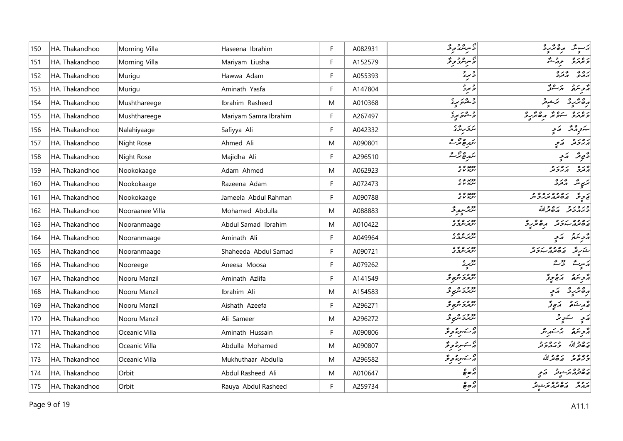| 150 | HA. Thakandhoo | <b>Morning Villa</b> | Haseena Ibrahim       | F  | A082931 | ئۇسرىئىرىمۇ ھ <sub>و</sub> سۇ                | ەرھەترىر <sup>ى</sup>                               |
|-----|----------------|----------------------|-----------------------|----|---------|----------------------------------------------|-----------------------------------------------------|
| 151 | HA. Thakandhoo | Morning Villa        | Mariyam Liusha        | F  | A152579 | ە بىرىش <sub>ۇ ئو</sub> ئۇ                   | پر مرم<br>ىردىشە                                    |
| 152 | HA. Thakandhoo | Murigu               | Hawwa Adam            | F  | A055393 | و<br>و بو و                                  | ر ە بە<br>برادى                                     |
| 153 | HA. Thakandhoo | Murigu               | Aminath Yasfa         | F  | A147804 | و<br>تر بوري                                 | أرمز<br>ېر پەيۋ                                     |
| 154 | HA. Thakandhoo | Mushthareege         | Ibrahim Rasheed       | M  | A010368 | <br> حرشہ <i>و مو</i> ر                      | ەھترىرى ترىشونر<br>رەترىرى ترىشونر                  |
| 155 | HA. Thakandhoo | Mushthareege         | Mariyam Samra Ibrahim | F  | A267497 | د شوړ <sub>مو</sub> ځ                        |                                                     |
| 156 | HA. Thakandhoo | Nalahiyaage          | Safiyya Ali           | F  | A042332 | يزويرون                                      | بتورج كالمح                                         |
| 157 | HA. Thakandhoo | Night Rose           | Ahmed Ali             | M  | A090801 | ايروچېر                                      | أرور وسيحي                                          |
| 158 | HA. Thakandhoo | Night Rose           | Majidha Ali           | F  | A296510 | يئدە قويرىشە                                 | وٌ مِعْرٌ مَ مِ                                     |
| 159 | HA. Thakandhoo | Nookokaage           | Adam Ahmed            | M  | A062923 | وویو پر د<br>سویں مذبی                       | أثره أزهاره                                         |
| 160 | HA. Thakandhoo | Nookokaage           | Razeena Adam          | F  | A072473 | وویر بر بر<br>سربر بر <sub>ک</sub>           | ىرىپەش كەنىرى                                       |
| 161 | HA. Thakandhoo | Nookokaage           | Jameela Abdul Rahman  | F. | A090788 | وویو پر ہ<br>سربر رہ <sub>ک</sub>            | ر و د ده ده ده و د<br>د و د کام در در د             |
| 162 | HA. Thakandhoo | Nooraanee Villa      | Mohamed Abdulla       | M  | A088883 | ترىژىيرە ئۇ                                  | وره رو ده دلله                                      |
| 163 | HA. Thakandhoo | Nooranmaage          | Abdul Samad Ibrahim   | M  | A010422 | دد ر ه و ،<br>سرپرسر <del>د</del> د          | נסכם נגב הסתנים                                     |
| 164 | HA. Thakandhoo | Nooranmaage          | Aminath Ali           | F  | A049964 | دد بر ۵ پر پر<br>سرپرسرچری                   | أأترشي أأتمي                                        |
| 165 | HA. Thakandhoo | Nooranmaage          | Shaheeda Abdul Samad  | F  | A090721 | دد بر ۵ پر پر<br>سرپرسرچری                   | ىشكەنگە<br>مەس<br>ر ٥ ٥ ٥ ر ر و<br>پره توپر سوتر تو |
| 166 | HA. Thakandhoo | Nooreege             | Aneesa Moosa          | F. | A079262 | دو<br>مترسمه په                              | رئىبرىشە<br>دومثر                                   |
| 167 | HA. Thakandhoo | Nooru Manzil         | Aminath Azlifa        | F  | A141549 | دد د بر ه<br>سرپر د سر <sub>ی</sub> څ        | أزويتمو أأتحج وأز                                   |
| 168 | HA. Thakandhoo | Nooru Manzil         | Ibrahim Ali           | M  | A154583 | دد در مربع گر                                | ە ھەترىر <sup>ە</sup><br>رځمنې                      |
| 169 | HA. Thakandhoo | Nooru Manzil         | Aishath Azeefa        | F  | A296271 | دد د بر ه<br>سربر د سرې څر                   |                                                     |
| 170 | HA. Thakandhoo | Nooru Manzil         | Ali Sameer            | M  | A296272 | يز پر د عربي د                               | أة مستحي تمريد                                      |
| 171 | HA. Thakandhoo | Oceanic Villa        | Aminath Hussain       | F  | A090806 | ە سەس <i>رى</i> رى ئە                        | أأرمز المسترامله                                    |
| 172 | HA. Thakandhoo | Oceanic Villa        | Abdulla Mohamed       | M  | A090807 | ە سەس <i>رى</i> رى ئە                        | برە ترالله<br>و ر ه ر و<br><i>و پر</i> و تر         |
| 173 | HA. Thakandhoo | Oceanic Villa        | Mukhuthaar Abdulla    | M  | A296582 | ە سەس <i>رى</i> رى ئە                        | وه و ده دالله                                       |
| 174 | HA. Thakandhoo | Orbit                | Abdul Rasheed Ali     | M  | A010647 | $\overset{\circ}{e}$ $\overset{\circ}{\sim}$ | ره وه ر <sub>کشو</sub> ر کرد.<br>ده مرد برشونر کرد. |
| 175 | HA. Thakandhoo | Orbit                | Rauya Abdul Rasheed   | F  | A259734 | $\overset{\circ}{e}$ $\overset{\circ}{\sim}$ | ر و به ده وه در د<br>بربر بر مقربر بر شوتر          |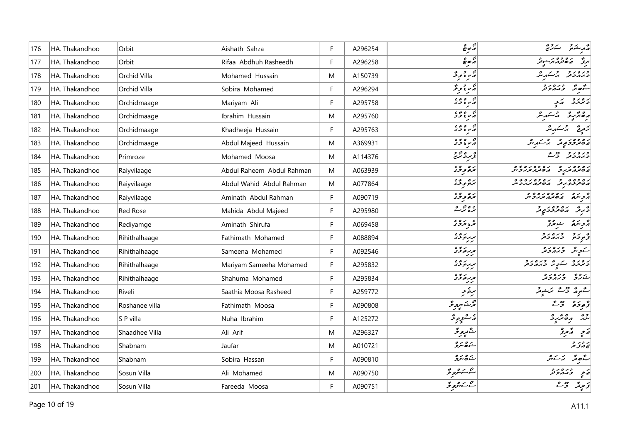| 176 | HA. Thakandhoo | Orbit          | Aishath Sahza             | F           | A296254 | $\overset{\circ}{e}$ $\overset{\circ}{\sim}$ |                                                                                                                |
|-----|----------------|----------------|---------------------------|-------------|---------|----------------------------------------------|----------------------------------------------------------------------------------------------------------------|
| 177 | HA. Thakandhoo | Orbit          | Rifaa Abdhuh Rasheedh     | F           | A296258 | $\stackrel{o}{e} \stackrel{o}{\sim}$         | يو ده ده ده کرد.<br>مرو ده مرد کرد د                                                                           |
| 178 | HA. Thakandhoo | Orchid Villa   | Mohamed Hussain           | M           | A150739 | ەر بەر ئەرگە<br>مەس                          |                                                                                                                |
| 179 | HA. Thakandhoo | Orchid Villa   | Sobira Mohamed            | F           | A296294 | ەر بە ئەرگە<br>مەس ئەرگە                     | و ر ه ر و<br>تر پر تر تر<br>ىبەھ ئە                                                                            |
| 180 | HA. Thakandhoo | Orchidmaage    | Mariyam Ali               | F           | A295758 |                                              | ر ه ر ه<br><del>د</del> بربرگ<br>ەتىر                                                                          |
| 181 | HA. Thakandhoo | Orchidmaage    | Ibrahim Hussain           | M           | A295760 | لمروءة                                       | جرسئەرىتىر<br>ە ھەترىر <sup>ە</sup>                                                                            |
| 182 | HA. Thakandhoo | Orchidmaage    | Khadheeja Hussain         | F           | A295763 | ه وه وه<br>مربو د د                          | نرَمْرِيَّحَ<br>جر سەر بىر                                                                                     |
| 183 | HA. Thakandhoo | Orchidmaage    | Abdul Majeed Hussain      | M           | A369931 |                                              | رە دەرىج تەرىجىسىدىكە                                                                                          |
| 184 | HA. Thakandhoo | Primroze       | Mohamed Moosa             | M           | A114376 | إوبروجرة                                     | ورەرو دوغ                                                                                                      |
| 185 | HA. Thakandhoo | Raiyvilaage    | Abdul Raheem Abdul Rahman | M           | A063939 | ره وي<br>مره <sub>و</sub> مونور              | ر ه و ه ر ه د ه<br>پره تر پر <i>پر چ</i> س<br>ן פיכה זה פ                                                      |
| 186 | HA. Thakandhoo | Raiyvilaage    | Abdul Wahid Abdul Rahman  | M           | A077864 | ىرە <sub>م</sub> وردى                        | ره وه به د ده وه ره ده<br>پره تر ژويند به ه تر بر بر بر                                                        |
| 187 | HA. Thakandhoo | Raiyvilaage    | Aminath Abdul Rahman      | F           | A090719 | ره وي<br>مره <sub>و</sub> مونور              | ر ٥ ر ٥ ر ٥ ر و<br>پره تو پر <i>بر ب</i> ر س<br>الجمع بنزو                                                     |
| 188 | HA. Thakandhoo | Red Rose       | Mahida Abdul Majeed       | F           | A295980 | بره جرحه                                     | و پر مان ده ده ده کمر در کار در کار در کار در کار در کار در کار در کار در کار در کار در کار در کار در کار در ک |
| 189 | HA. Thakandhoo | Rediyamge      | Aminath Shirufa           | $\mathsf F$ | A069458 | ء<br>مرب <sub>ع</sub> در در                  | أأوسكم شرمرا                                                                                                   |
| 190 | HA. Thakandhoo | Rihithalhaage  | Fathimath Mohamed         | F           | A088894 | ىرىر برىرى<br>ئرىر بىرىگە ي                  | و ده دره در                                                                                                    |
| 191 | HA. Thakandhoo | Rihithalhaage  | Sameena Mohamed           | F           | A092546 | ىرىر بەر<br>مرىر بىرىگە ي                    | كورير وبرورو                                                                                                   |
| 192 | HA. Thakandhoo | Rihithalhaage  | Mariyam Sameeha Mohamed   | F           | A295832 | ىرىر بەر<br>بىرىر بىرى                       | د وړو کورځ وړه د و                                                                                             |
| 193 | HA. Thakandhoo | Rihithalhaage  | Shahuma Mohamed           | F           | A295834 | برره ژه ؟<br><u>در</u> ه ژه                  | روه وره دو.<br>شورو وبرووتر                                                                                    |
| 194 | HA. Thakandhoo | Riveli         | Saathia Moosa Rasheed     | F           | A259772 | ىرة و                                        | شهره وحث برسومر                                                                                                |
| 195 | HA. Thakandhoo | Roshanee villa | Fathimath Moosa           | F           | A090808 | جر شه مبر <sub>حو</sub> محر                  | د پيشه<br>ۇ بوخ <sup>ى</sup>                                                                                   |
| 196 | HA. Thakandhoo | S P villa      | Nuha Ibrahim              | $\mathsf F$ | A125272 | ې شوپومونځه<br>نور                           |                                                                                                                |
| 197 | HA. Thakandhoo | Shaadhee Villa | Ali Arif                  | M           | A296327 | ر<br>شور و ژ                                 | أەيىي ئەيرى                                                                                                    |
| 198 | HA. Thakandhoo | Shabnam        | Jaufar                    | M           | A010721 | شەھ بىر ۋ                                    | ر ور و<br>ق <i>ەھ</i> تومر                                                                                     |
| 199 | HA. Thakandhoo | Shabnam        | Sobira Hassan             | F           | A090810 | شەھ بىرە                                     | يثوثر<br>برسەمىر                                                                                               |
| 200 | HA. Thakandhoo | Sosun Villa    | Ali Mohamed               | M           | A090750 | <u>م ئەسمىرىدى</u>                           |                                                                                                                |
| 201 | HA. Thakandhoo | Sosun Villa    | Fareeda Moosa             | F           | A090751 | <u>شر ئەشرو ئۇ</u>                           | ۇ پرىژ بۇرگ                                                                                                    |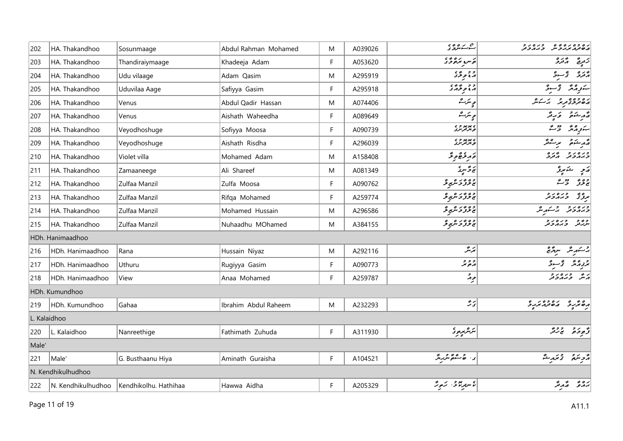| 202          | HA. Thakandhoo     | Sosunmaage            | Abdul Rahman Mohamed | M  | A039026 | <u>م بەرەپ ئ</u>                    | ر 0 כ 0 ג 0 ג 0 י 0 ג 0 ג כ<br>ג ש تر <i>ג ד</i> ג ג ד ע י כ ג ג כ تر                                                                                                                                                           |
|--------------|--------------------|-----------------------|----------------------|----|---------|-------------------------------------|---------------------------------------------------------------------------------------------------------------------------------------------------------------------------------------------------------------------------------|
| 203          | HA. Thakandhoo     | Thandiraiymaage       | Khadeeja Adam        | F  | A053620 | ە سرە ئىھ ۋې                        | پور ہ<br>مرکزو<br>  ترْمِرِيَّحْ                                                                                                                                                                                                |
| 204          | HA. Thakandhoo     | Udu vilaage           | Adam Qasim           | M  | A295919 | د د په په<br>مرغ موڅ د              | وره ځې ده                                                                                                                                                                                                                       |
| 205          | HA. Thakandhoo     | Uduvilaa Aage         | Safiyya Gasim        | F. | A295918 | د د <sub>عرفت</sub> ری<br>مړينې     | ايروه ومحسوق                                                                                                                                                                                                                    |
| 206          | HA. Thakandhoo     | Venus                 | Abdul Qadir Hassan   | M  | A074406 | ا <sub>ھي</sub> سَر م               | رە دەپرىر بەسەر<br>مەھىرىرى بەسەر                                                                                                                                                                                               |
| 207          | HA. Thakandhoo     | Venus                 | Aishath Waheedha     | F  | A089649 | <sub>حي</sub> سَر ٿ                 | وكرمشرة وكرقر                                                                                                                                                                                                                   |
| 208          | HA. Thakandhoo     | Veyodhoshuge          | Sofiyya Moosa        | F  | A090739 | ړ پر پر و ړ<br>و پر تر سر پ         | بتوره وسطح                                                                                                                                                                                                                      |
| 209          | HA. Thakandhoo     | Veyodhoshuge          | Aishath Risdha       | F  | A296039 | ے مومو و ے<br>حرافر مر <sub>ک</sub> |                                                                                                                                                                                                                                 |
| 210          | HA. Thakandhoo     | Violet villa          | Mohamed Adam         | M  | A158408 | ءَ ہر ڏھ ُ پر ڏ                     | ورەر دىرە                                                                                                                                                                                                                       |
| 211          | HA. Thakandhoo     | Zamaaneege            | Ali Shareef          | M  | A081349 | ر و<br>پخ شمیرنگ                    | ە ئەيدىقى<br>مەسىمە                                                                                                                                                                                                             |
| 212          | HA. Thakandhoo     | Zulfaa Manzil         | Zulfa Moosa          | F  | A090762 | وە پەر ھ <sub>ى</sub> پە            | وه و ديگر                                                                                                                                                                                                                       |
| 213          | HA. Thakandhoo     | Zulfaa Manzil         | Rifga Mohamed        | F. | A259774 | چ بو تو <i>څر</i> ې بو              | و ره ر د<br><i>د ب</i> رگرفر<br>ىروگ                                                                                                                                                                                            |
| 214          | HA. Thakandhoo     | Zulfaa Manzil         | Mohamed Hussain      | M  | A296586 | وە پەر ھ <sub>ى</sub> پە            | ورەرو ويەر                                                                                                                                                                                                                      |
| 215          | HA. Thakandhoo     | Zulfaa Manzil         | Nuhaadhu MOhamed     | M  | A384155 | چ تو تر <i>چې</i> تر تر             | و و دره در و<br>سربر د بر و تر                                                                                                                                                                                                  |
|              | HDh. Hanimaadhoo   |                       |                      |    |         |                                     |                                                                                                                                                                                                                                 |
| 216          | HDh. Hanimaadhoo   | Rana                  | Hussain Niyaz        | M  | A292116 | ىرىتر                               | رحم میں مرکز کے مرکز کے مرکز کے مرکز کے ان کے مرکز کے مرکز کے مرکز کے مرکز کے مرکز کے مرکز کے لیے تعلیم کے مرکز<br>مرکز کے مرکز کے مرکز کے مرکز کے مرکز کے مرکز کے مرکز کے مرکز کے مرکز کے مرکز کے مرکز کے مرکز کے مرکز کے مرکز |
| 217          | HDh. Hanimaadhoo   | Uthuru                | Rugiyya Gasim        | F. | A090773 | د د د<br>مرموننر                    |                                                                                                                                                                                                                                 |
| 218          | HDh. Hanimaadhoo   | View                  | Anaa Mohamed         | F. | A259787 | حرجر                                | ر بر در در در در در بازی<br>مرتش از در در در                                                                                                                                                                                    |
|              | HDh. Kumundhoo     |                       |                      |    |         |                                     |                                                                                                                                                                                                                                 |
| 219          | HDh. Kumundhoo     | Gahaa                 | Ibrahim Abdul Raheem | M  | A232293 | ىرچ                                 | ره وه ر<br>پره تربر تربر و<br>ەر ھەتئەر 2<br>س                                                                                                                                                                                  |
| L. Kalaidhoo |                    |                       |                      |    |         |                                     |                                                                                                                                                                                                                                 |
| 220          | L. Kalaidhoo       | Nanreethige           | Fathimath Zuhuda     | F  | A311930 | ىر بە <sub>ر بىر ب</sub> ىرى        | توجدة المحافظة                                                                                                                                                                                                                  |
| Male'        |                    |                       |                      |    |         |                                     |                                                                                                                                                                                                                                 |
| 221          | Male'              | G. Busthaanu Hiya     | Aminath Guraisha     | F  | A104521 | ى ھەسمۇسرىدىگر                      | مُتَاحِسَةً تَحْسَرِ اللَّهُ                                                                                                                                                                                                    |
|              | N. Kendhikulhudhoo |                       |                      |    |         |                                     |                                                                                                                                                                                                                                 |
| 222          | N. Kendhikulhudhoo | Kendhikolhu. Hathihaa | Hawwa Aidha          | F. | A205329 | ، سربر پیچ په کر <sub>ی</sub> گ     | ر ه و<br>بر د تو<br>پھ مر تر<br>م                                                                                                                                                                                               |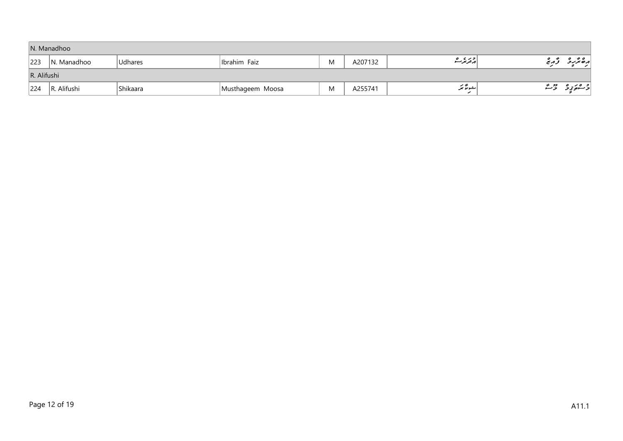|     | N. Manadhoo  |          |                  |   |         |           |        |                          |  |  |  |
|-----|--------------|----------|------------------|---|---------|-----------|--------|--------------------------|--|--|--|
| 223 | IN. Manadhoo | Udhares  | Ibrahim Faiz     | M | A207132 | پرندی ہے  | ز م مح | پر ۱۵ پر د<br>$\sim$ 1   |  |  |  |
|     | R. Alifushi  |          |                  |   |         |           |        |                          |  |  |  |
| 224 | R. Alifushi  | Shikaara | Musthageem Moosa | M | A255741 | شەرگە ئىر | وسه    | 3 سىم ت <sub>و</sub> ر 2 |  |  |  |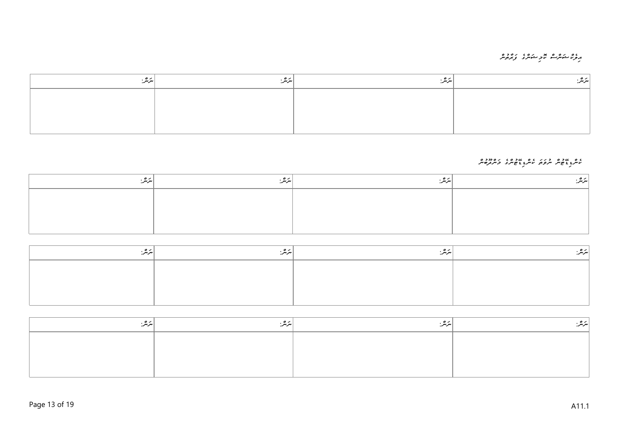## *w7qAn8m? sCw7mRo>u; wEw7mRw;sBo<*

| ' مرمر | 'يئرىثر: |
|--------|----------|
|        |          |
|        |          |
|        |          |

## *w7q9r@w7m> sCw7qHtFoFw7s; mAm=q7 w7qHtFoFw7s;*

| يئرمىش: | $^{\circ}$<br>. سر سر<br>$\cdot$ | $\circ$ $\sim$<br>-- | يئرمثر |
|---------|----------------------------------|----------------------|--------|
|         |                                  |                      |        |
|         |                                  |                      |        |
|         |                                  |                      |        |

| $\frac{2}{n}$ | $\overline{\phantom{a}}$ | اير هنه. | $\mathcal{O} \times$<br>سرسر |
|---------------|--------------------------|----------|------------------------------|
|               |                          |          |                              |
|               |                          |          |                              |
|               |                          |          |                              |

| ' ئىرتىر: | سر سر |  |
|-----------|-------|--|
|           |       |  |
|           |       |  |
|           |       |  |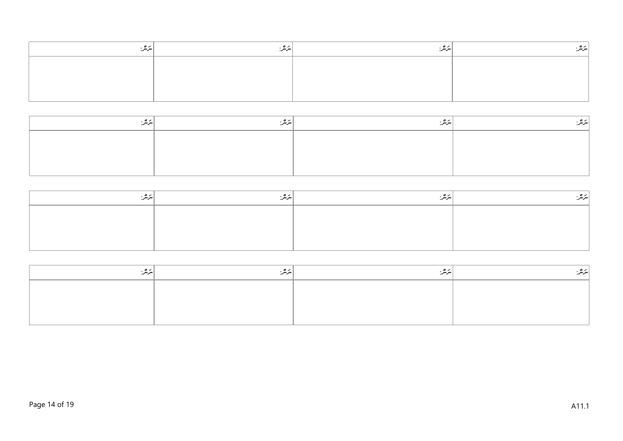| يره. | ο. | ا ير ه |  |
|------|----|--------|--|
|      |    |        |  |
|      |    |        |  |
|      |    |        |  |

| <sup>.</sup> سرسر. |  |
|--------------------|--|
|                    |  |
|                    |  |
|                    |  |

| ىئرىتر. | $\sim$ | ا بر هه. | لىرىش |
|---------|--------|----------|-------|
|         |        |          |       |
|         |        |          |       |
|         |        |          |       |

| 。<br>مرس. | $\overline{\phantom{a}}$<br>مر سر | يتريثر |
|-----------|-----------------------------------|--------|
|           |                                   |        |
|           |                                   |        |
|           |                                   |        |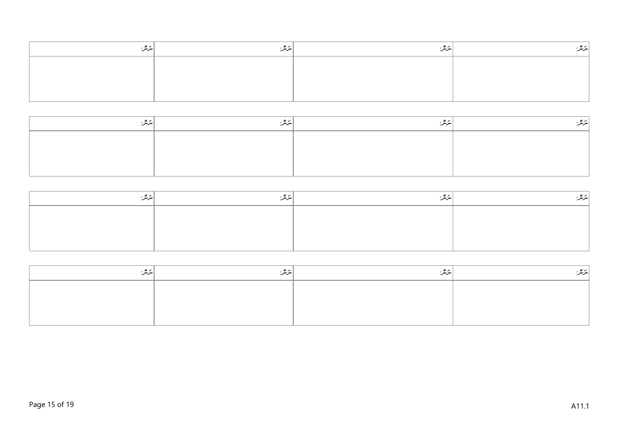| ير هو . | $\overline{\phantom{a}}$ | يرمر | اير هنه. |
|---------|--------------------------|------|----------|
|         |                          |      |          |
|         |                          |      |          |
|         |                          |      |          |

| ىر تىر: | $\circ$ $\sim$<br>" سرسر . | يبرحه | o . |
|---------|----------------------------|-------|-----|
|         |                            |       |     |
|         |                            |       |     |
|         |                            |       |     |

| الترنثر: | ' مرتكز: | الترنثر: | .,<br>سرسر. |
|----------|----------|----------|-------------|
|          |          |          |             |
|          |          |          |             |
|          |          |          |             |

| 。 |  |  |
|---|--|--|
|   |  |  |
|   |  |  |
|   |  |  |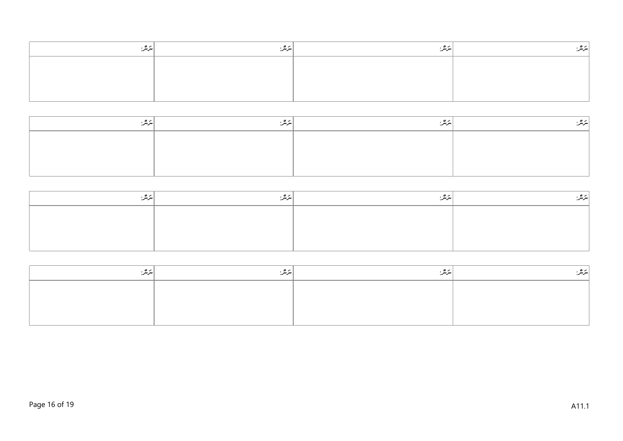| ير هو . | $\overline{\phantom{a}}$ | يرمر | اير هنه. |
|---------|--------------------------|------|----------|
|         |                          |      |          |
|         |                          |      |          |
|         |                          |      |          |

| ىر تىر: | $\circ$ $\sim$<br>" سرسر . | يبرحه | o . |
|---------|----------------------------|-------|-----|
|         |                            |       |     |
|         |                            |       |     |
|         |                            |       |     |

| 'تترنثر: | . .<br>يسمونس. |  |
|----------|----------------|--|
|          |                |  |
|          |                |  |
|          |                |  |

|  | . ه |
|--|-----|
|  |     |
|  |     |
|  |     |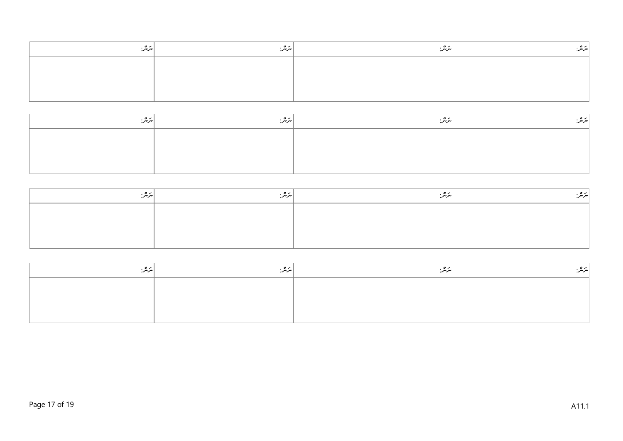| $\cdot$ | 。 | $\frac{\circ}{\cdot}$ | $\sim$<br>سرسر |
|---------|---|-----------------------|----------------|
|         |   |                       |                |
|         |   |                       |                |
|         |   |                       |                |

| ايرعر: | ر ه<br>. . |  |
|--------|------------|--|
|        |            |  |
|        |            |  |
|        |            |  |

| بر ه | . ه | $\sim$<br>سرسر |  |
|------|-----|----------------|--|
|      |     |                |  |
|      |     |                |  |
|      |     |                |  |

| 。<br>. س | ىرىىر |  |
|----------|-------|--|
|          |       |  |
|          |       |  |
|          |       |  |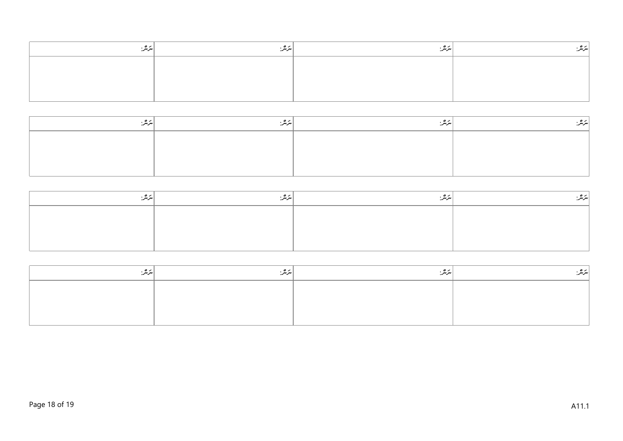| ير هو . | $\overline{\phantom{a}}$ | يرمر | اير هنه. |
|---------|--------------------------|------|----------|
|         |                          |      |          |
|         |                          |      |          |
|         |                          |      |          |

| ئىرتىر: | $\sim$<br>ا سرسر . | يئرمثر | o . |
|---------|--------------------|--------|-----|
|         |                    |        |     |
|         |                    |        |     |
|         |                    |        |     |

| انترنثر: | ر ه |  |
|----------|-----|--|
|          |     |  |
|          |     |  |
|          |     |  |

|  | . ه |
|--|-----|
|  |     |
|  |     |
|  |     |